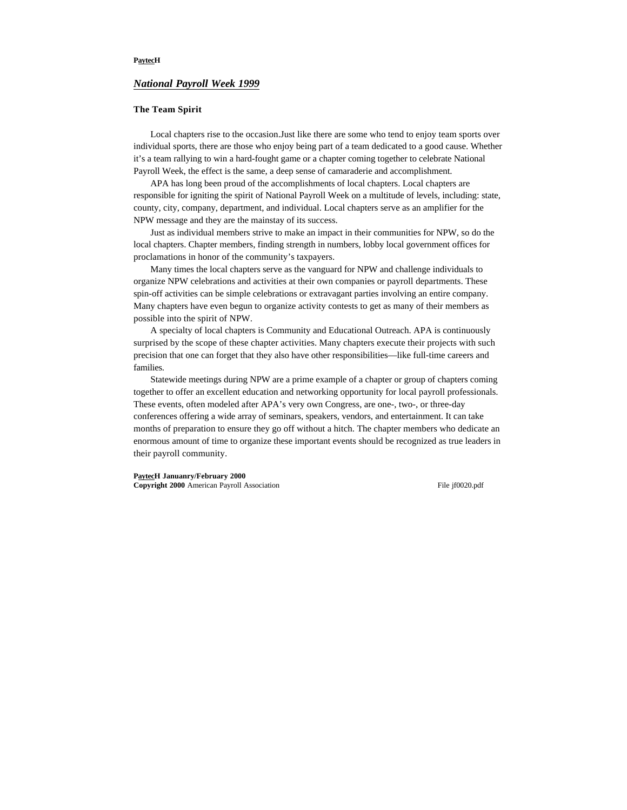## **PaytecH**

# *National Payroll Week 1999*

#### **The Team Spirit**

Local chapters rise to the occasion.Just like there are some who tend to enjoy team sports over individual sports, there are those who enjoy being part of a team dedicated to a good cause. Whether it's a team rallying to win a hard-fought game or a chapter coming together to celebrate National Payroll Week, the effect is the same, a deep sense of camaraderie and accomplishment.

APA has long been proud of the accomplishments of local chapters. Local chapters are responsible for igniting the spirit of National Payroll Week on a multitude of levels, including: state, county, city, company, department, and individual. Local chapters serve as an amplifier for the NPW message and they are the mainstay of its success.

Just as individual members strive to make an impact in their communities for NPW, so do the local chapters. Chapter members, finding strength in numbers, lobby local government offices for proclamations in honor of the community's taxpayers.

Many times the local chapters serve as the vanguard for NPW and challenge individuals to organize NPW celebrations and activities at their own companies or payroll departments. These spin-off activities can be simple celebrations or extravagant parties involving an entire company. Many chapters have even begun to organize activity contests to get as many of their members as possible into the spirit of NPW.

A specialty of local chapters is Community and Educational Outreach. APA is continuously surprised by the scope of these chapter activities. Many chapters execute their projects with such precision that one can forget that they also have other responsibilities—like full-time careers and families.

Statewide meetings during NPW are a prime example of a chapter or group of chapters coming together to offer an excellent education and networking opportunity for local payroll professionals. These events, often modeled after APA's very own Congress, are one-, two-, or three-day conferences offering a wide array of seminars, speakers, vendors, and entertainment. It can take months of preparation to ensure they go off without a hitch. The chapter members who dedicate an enormous amount of time to organize these important events should be recognized as true leaders in their payroll community.

**PaytecH Januanry/February 2000 Copyright 2000** American Payroll Association File jf0020.pdf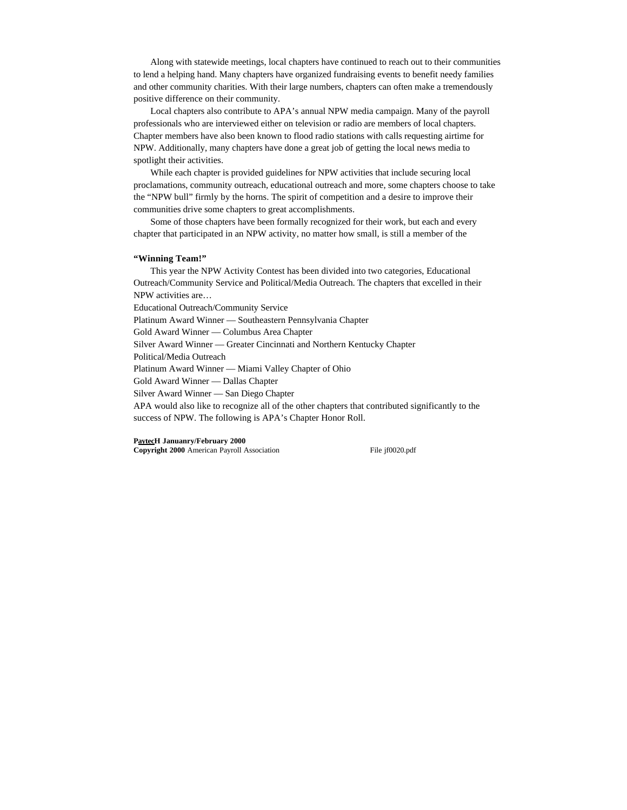Along with statewide meetings, local chapters have continued to reach out to their communities to lend a helping hand. Many chapters have organized fundraising events to benefit needy families and other community charities. With their large numbers, chapters can often make a tremendously positive difference on their community.

Local chapters also contribute to APA's annual NPW media campaign. Many of the payroll professionals who are interviewed either on television or radio are members of local chapters. Chapter members have also been known to flood radio stations with calls requesting airtime for NPW. Additionally, many chapters have done a great job of getting the local news media to spotlight their activities.

While each chapter is provided guidelines for NPW activities that include securing local proclamations, community outreach, educational outreach and more, some chapters choose to take the "NPW bull" firmly by the horns. The spirit of competition and a desire to improve their communities drive some chapters to great accomplishments.

Some of those chapters have been formally recognized for their work, but each and every chapter that participated in an NPW activity, no matter how small, is still a member of the

#### **"Winning Team!"**

This year the NPW Activity Contest has been divided into two categories, Educational Outreach/Community Service and Political/Media Outreach. The chapters that excelled in their NPW activities are…

Educational Outreach/Community Service

Platinum Award Winner — Southeastern Pennsylvania Chapter

Gold Award Winner — Columbus Area Chapter

Silver Award Winner — Greater Cincinnati and Northern Kentucky Chapter

Political/Media Outreach

Platinum Award Winner — Miami Valley Chapter of Ohio

Gold Award Winner — Dallas Chapter

Silver Award Winner — San Diego Chapter

APA would also like to recognize all of the other chapters that contributed significantly to the success of NPW. The following is APA's Chapter Honor Roll.

#### **PaytecH Januanry/February 2000**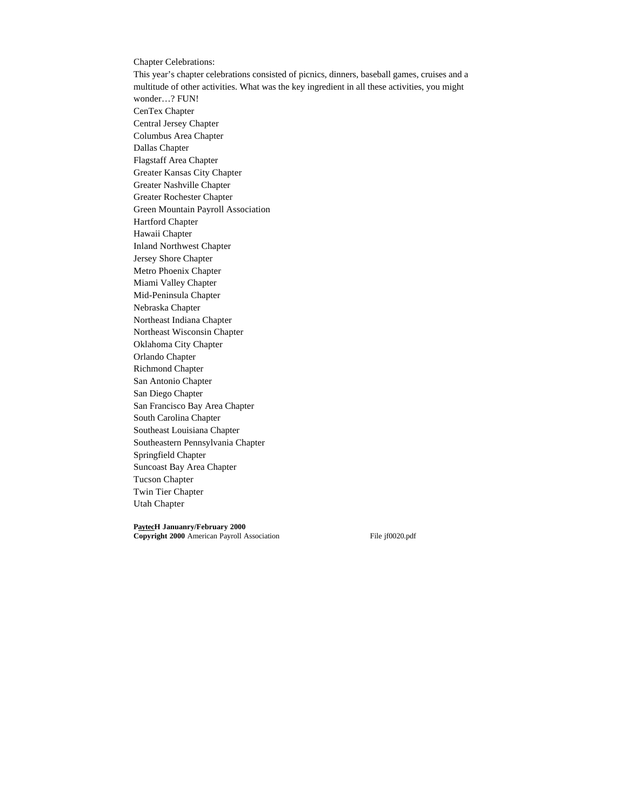Chapter Celebrations: This year's chapter celebrations consisted of picnics, dinners, baseball games, cruises and a multitude of other activities. What was the key ingredient in all these activities, you might wonder…? FUN! CenTex Chapter Central Jersey Chapter Columbus Area Chapter Dallas Chapter Flagstaff Area Chapter Greater Kansas City Chapter Greater Nashville Chapter Greater Rochester Chapter Green Mountain Payroll Association Hartford Chapter Hawaii Chapter Inland Northwest Chapter Jersey Shore Chapter Metro Phoenix Chapter Miami Valley Chapter Mid-Peninsula Chapter Nebraska Chapter Northeast Indiana Chapter Northeast Wisconsin Chapter Oklahoma City Chapter Orlando Chapter Richmond Chapter San Antonio Chapter San Diego Chapter San Francisco Bay Area Chapter South Carolina Chapter Southeast Louisiana Chapter Southeastern Pennsylvania Chapter Springfield Chapter Suncoast Bay Area Chapter Tucson Chapter Twin Tier Chapter

Utah Chapter

**PaytecH Januanry/February 2000**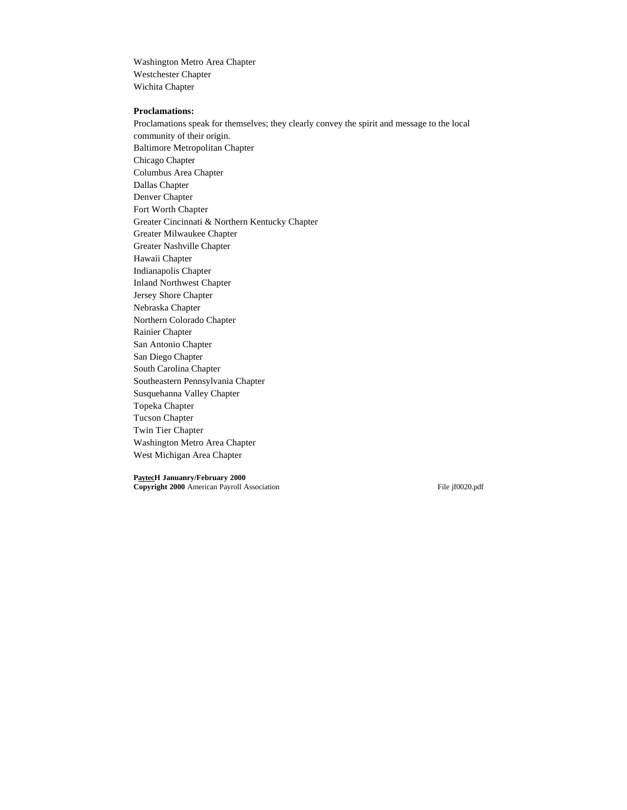Washington Metro Area Chapter Westchester Chapter Wichita Chapter

## **Proclamations:**

Proclamations speak for themselves; they clearly convey the spirit and message to the local community of their origin. Baltimore Metropolitan Chapter Chicago Chapter Columbus Area Chapter Dallas Chapter Denver Chapter Fort Worth Chapter Greater Cincinnati & Northern Kentucky Chapter Greater Milwaukee Chapter Greater Nashville Chapter Hawaii Chapter Indianapolis Chapter Inland Northwest Chapter Jersey Shore Chapter Nebraska Chapter Northern Colorado Chapter Rainier Chapter San Antonio Chapter San Diego Chapter South Carolina Chapter Southeastern Pennsylvania Chapter Susquehanna Valley Chapter Topeka Chapter Tucson Chapter Twin Tier Chapter Washington Metro Area Chapter West Michigan Area Chapter

**PaytecH Januanry/February 2000 Copyright 2000** American Payroll Association File jf0020.pdf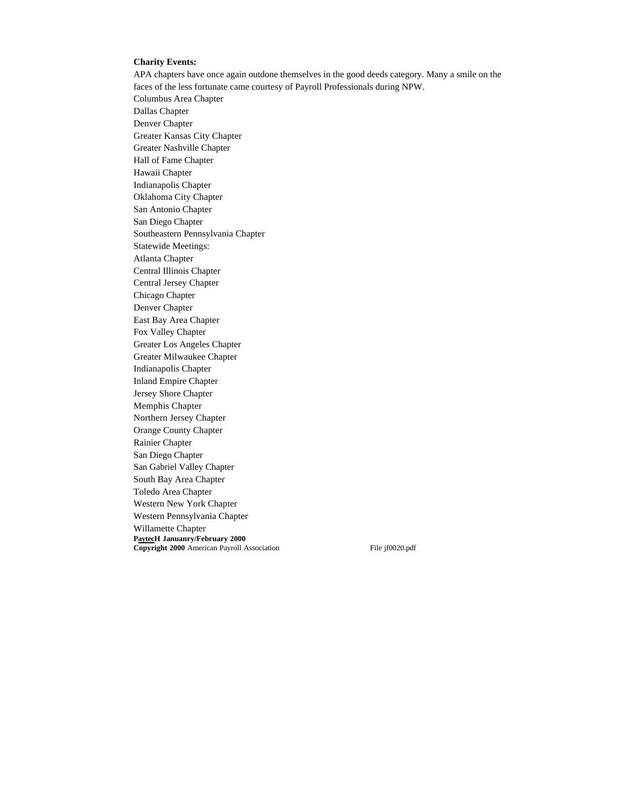### **Charity Events:**

APA chapters have once again outdone themselves in the good deeds category. Many a smile on the faces of the less fortunate came courtesy of Payroll Professionals during NPW. Columbus Area Chapter Dallas Chapter Denver Chapter Greater Kansas City Chapter Greater Nashville Chapter Hall of Fame Chapter Hawaii Chapter Indianapolis Chapter Oklahoma City Chapter San Antonio Chapter San Diego Chapter Southeastern Pennsylvania Chapter Statewide Meetings: Atlanta Chapter Central Illinois Chapter Central Jersey Chapter Chicago Chapter Denver Chapter East Bay Area Chapter Fox Valley Chapter Greater Los Angeles Chapter Greater Milwaukee Chapter Indianapolis Chapter Inland Empire Chapter Jersey Shore Chapter Memphis Chapter Northern Jersey Chapter Orange County Chapter Rainier Chapter San Diego Chapter San Gabriel Valley Chapter South Bay Area Chapter Toledo Area Chapter Western New York Chapter Western Pennsylvania Chapter Willamette Chapter **PaytecH Januanry/February 2000 Copyright 2000** American Payroll Association File jf0020.pdf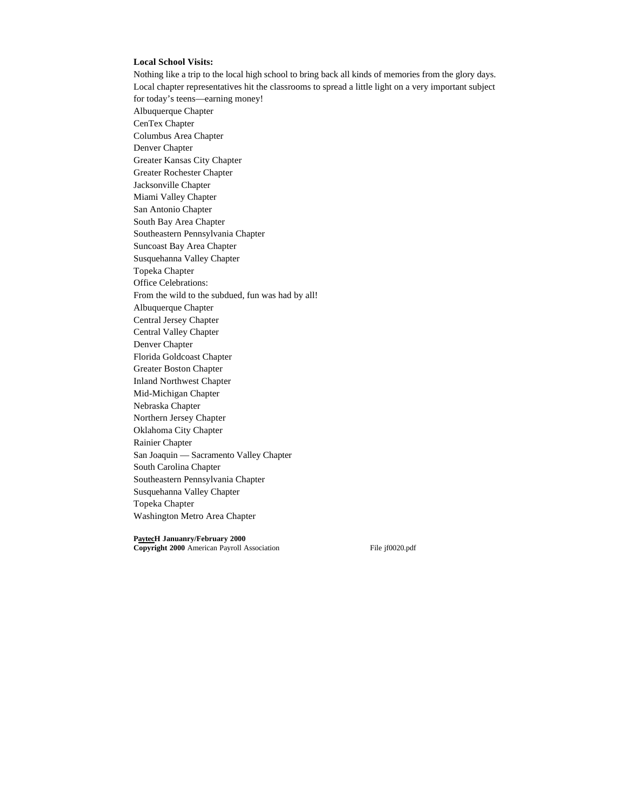## **Local School Visits:**

Nothing like a trip to the local high school to bring back all kinds of memories from the glory days. Local chapter representatives hit the classrooms to spread a little light on a very important subject for today's teens—earning money! Albuquerque Chapter CenTex Chapter Columbus Area Chapter Denver Chapter Greater Kansas City Chapter Greater Rochester Chapter Jacksonville Chapter Miami Valley Chapter San Antonio Chapter South Bay Area Chapter Southeastern Pennsylvania Chapter Suncoast Bay Area Chapter Susquehanna Valley Chapter Topeka Chapter Office Celebrations: From the wild to the subdued, fun was had by all! Albuquerque Chapter Central Jersey Chapter Central Valley Chapter Denver Chapter Florida Goldcoast Chapter Greater Boston Chapter Inland Northwest Chapter Mid-Michigan Chapter Nebraska Chapter Northern Jersey Chapter Oklahoma City Chapter Rainier Chapter San Joaquin — Sacramento Valley Chapter South Carolina Chapter Southeastern Pennsylvania Chapter Susquehanna Valley Chapter Topeka Chapter Washington Metro Area Chapter

**PaytecH Januanry/February 2000**